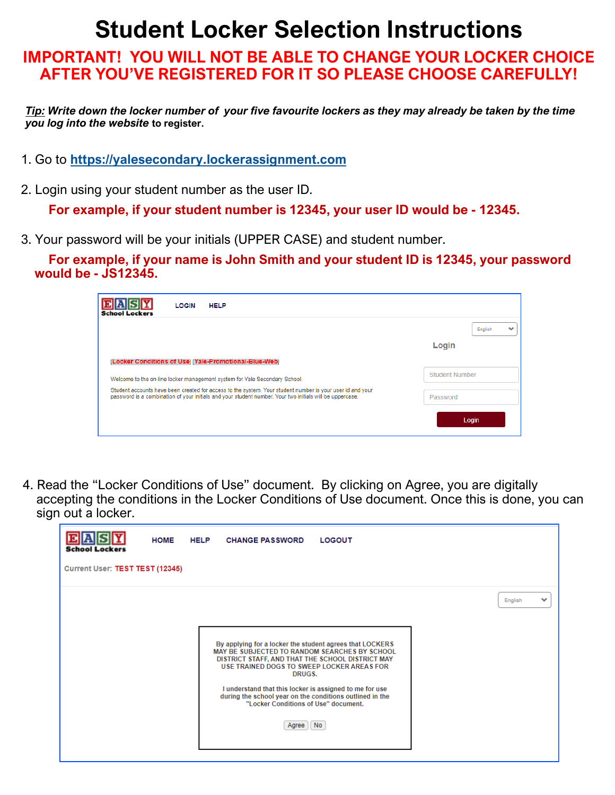## **Student Locker Selection Instructions**

## **IMPORTANT! YOU WILL NOT BE ABLE TO CHANGE YOUR LOCKER CHOICE AFTER YOU'VE REGISTERED FOR IT SO PLEASE CHOOSE CAREFULLY!**

*Tip: Write down the locker number of your five favourite lockers as they may already be taken by the time you log into the website* **to register.**

- 1. Go to **<https://yalesecondary.lockerassignment.com>**
- 2. Login using your student number as the user ID.

**For example, if your student number is 12345, your user ID would be - 12345.**

3. Your password will be your initials (UPPER CASE) and student number.

**For example, if your name is John Smith and your student ID is 12345, your password would be - JS12345.**

| <b>HELP</b><br><b>LOGIN</b><br><b>School Lockers</b>                                                                                                                                                                  |                  |  |
|-----------------------------------------------------------------------------------------------------------------------------------------------------------------------------------------------------------------------|------------------|--|
|                                                                                                                                                                                                                       | English<br>Login |  |
| [Locker Conditions of Use] [Yale-Promotional-Blue-Web]                                                                                                                                                                |                  |  |
| Welcome to the on-line locker management system for Yale Secondary School.                                                                                                                                            | Student Number   |  |
| Student accounts have been created for access to the system. Your student number is your user id and your<br>password is a combination of your initials and your student number. Your two initials will be uppercase. | Password         |  |
|                                                                                                                                                                                                                       | Login            |  |

4. Read the "Locker Conditions of Use" document. By clicking on Agree, you are digitally accepting the conditions in the Locker Conditions of Use document. Once this is done, you can sign out a locker.

| <b>School Lockers</b>           | <b>HOME</b> | <b>HELP</b> | <b>CHANGE PASSWORD</b>                                                                                                                                                                                                                                                                                                                                                                        | <b>LOGOUT</b> |              |
|---------------------------------|-------------|-------------|-----------------------------------------------------------------------------------------------------------------------------------------------------------------------------------------------------------------------------------------------------------------------------------------------------------------------------------------------------------------------------------------------|---------------|--------------|
| Current User: TEST TEST (12345) |             |             |                                                                                                                                                                                                                                                                                                                                                                                               |               |              |
|                                 |             |             | By applying for a locker the student agrees that LOCKERS<br>MAY BE SUBJECTED TO RANDOM SEARCHES BY SCHOOL<br>DISTRICT STAFF, AND THAT THE SCHOOL DISTRICT MAY<br>USE TRAINED DOGS TO SWEEP LOCKER AREAS FOR<br>DRUGS.<br>I understand that this locker is assigned to me for use<br>during the school year on the conditions outlined in the<br>"Locker Conditions of Use" document.<br>Agree | No.           | v<br>English |